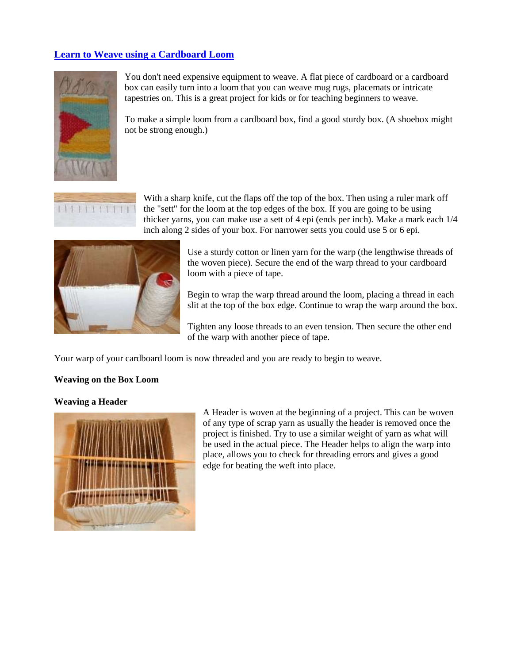#### **[Learn to Weave using a Cardboard Loom](http://www.allfiberarts.com/library/aa01/aa040201.htm)**



You don't need expensive equipment to weave. A flat piece of cardboard or a cardboard box can easily turn into a loom that you can weave mug rugs, placemats or intricate tapestries on. This is a great project for kids or for teaching beginners to weave.

To make a simple loom from a cardboard box, find a good sturdy box. (A shoebox might not be strong enough.)



With a sharp knife, cut the flaps off the top of the box. Then using a ruler mark off the "sett" for the loom at the top edges of the box. If you are going to be using thicker yarns, you can make use a sett of 4 epi (ends per inch). Make a mark each 1/4 inch along 2 sides of your box. For narrower setts you could use 5 or 6 epi.



Use a sturdy cotton or linen yarn for the warp (the lengthwise threads of the woven piece). Secure the end of the warp thread to your cardboard loom with a piece of tape.

Begin to wrap the warp thread around the loom, placing a thread in each slit at the top of the box edge. Continue to wrap the warp around the box.

Tighten any loose threads to an even tension. Then secure the other end of the warp with another piece of tape.

Your warp of your cardboard loom is now threaded and you are ready to begin to weave.

#### **Weaving on the Box Loom**

#### **Weaving a Header**



A Header is woven at the beginning of a project. This can be woven of any type of scrap yarn as usually the header is removed once the project is finished. Try to use a similar weight of yarn as what will be used in the actual piece. The Header helps to align the warp into place, allows you to check for threading errors and gives a good edge for beating the weft into place.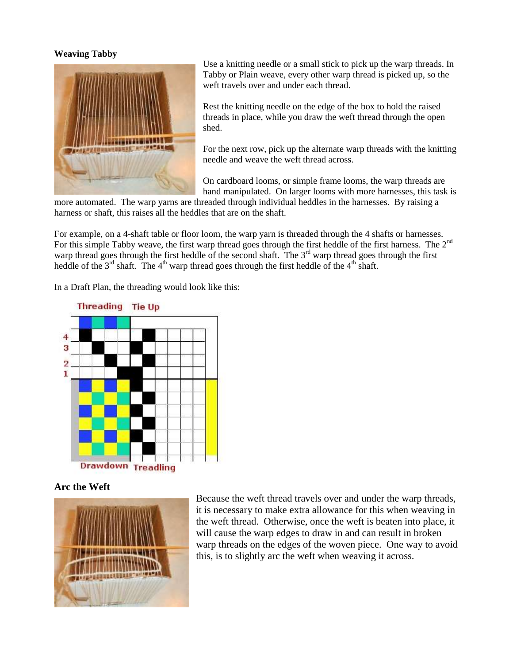#### **Weaving Tabby**



Use a knitting needle or a small stick to pick up the warp threads. In Tabby or Plain weave, every other warp thread is picked up, so the weft travels over and under each thread.

Rest the knitting needle on the edge of the box to hold the raised threads in place, while you draw the weft thread through the open shed.

For the next row, pick up the alternate warp threads with the knitting needle and weave the weft thread across.

On cardboard looms, or simple frame looms, the warp threads are hand manipulated. On larger looms with more harnesses, this task is

more automated. The warp yarns are threaded through individual heddles in the harnesses. By raising a harness or shaft, this raises all the heddles that are on the shaft.

For example, on a 4-shaft table or floor loom, the warp yarn is threaded through the 4 shafts or harnesses. For this simple Tabby weave, the first warp thread goes through the first heddle of the first harness. The 2<sup>nd</sup> warp thread goes through the first heddle of the second shaft. The  $3<sup>rd</sup>$  warp thread goes through the first heddle of the  $3^{rd}$  shaft. The  $4^{th}$  warp thread goes through the first heddle of the  $4^{th}$  shaft.

In a Draft Plan, the threading would look like this:



**Arc the Weft**



Because the weft thread travels over and under the warp threads, it is necessary to make extra allowance for this when weaving in the weft thread. Otherwise, once the weft is beaten into place, it will cause the warp edges to draw in and can result in broken warp threads on the edges of the woven piece. One way to avoid this, is to slightly arc the weft when weaving it across.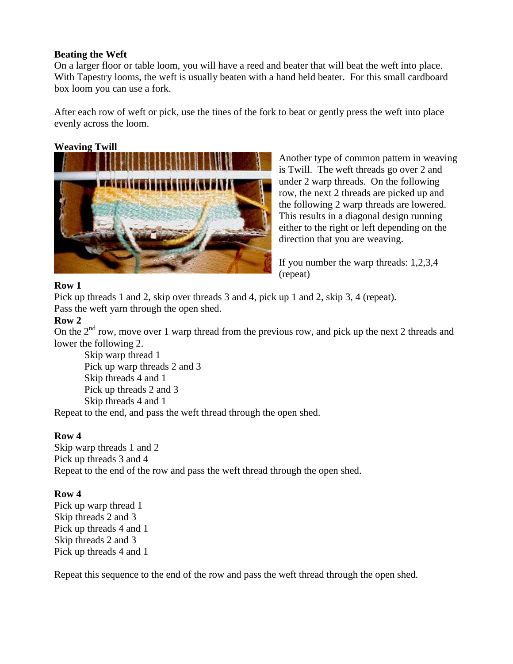#### **Beating the Weft**

On a larger floor or table loom, you will have a reed and beater that will beat the weft into place. With Tapestry looms, the weft is usually beaten with a hand held beater. For this small cardboard box loom you can use a fork.

After each row of weft or pick, use the tines of the fork to beat or gently press the weft into place evenly across the loom.

# **Weaving Twill**



Another type of common pattern in weaving is Twill. The weft threads go over 2 and under 2 warp threads. On the following row, the next 2 threads are picked up and the following 2 warp threads are lowered. This results in a diagonal design running either to the right or left depending on the direction that you are weaving.

If you number the warp threads: 1,2,3,4 (repeat)

# **Row 1**

Pick up threads 1 and 2, skip over threads 3 and 4, pick up 1 and 2, skip 3, 4 (repeat). Pass the weft yarn through the open shed.

#### **Row 2**

On the 2<sup>nd</sup> row, move over 1 warp thread from the previous row, and pick up the next 2 threads and lower the following 2.

Skip warp thread 1 Pick up warp threads 2 and 3 Skip threads 4 and 1 Pick up threads 2 and 3 Skip threads 4 and 1

Repeat to the end, and pass the weft thread through the open shed.

# **Row 4**

Skip warp threads 1 and 2 Pick up threads 3 and 4 Repeat to the end of the row and pass the weft thread through the open shed.

# **Row 4**

Pick up warp thread 1 Skip threads 2 and 3 Pick up threads 4 and 1 Skip threads 2 and 3 Pick up threads 4 and 1

Repeat this sequence to the end of the row and pass the weft thread through the open shed.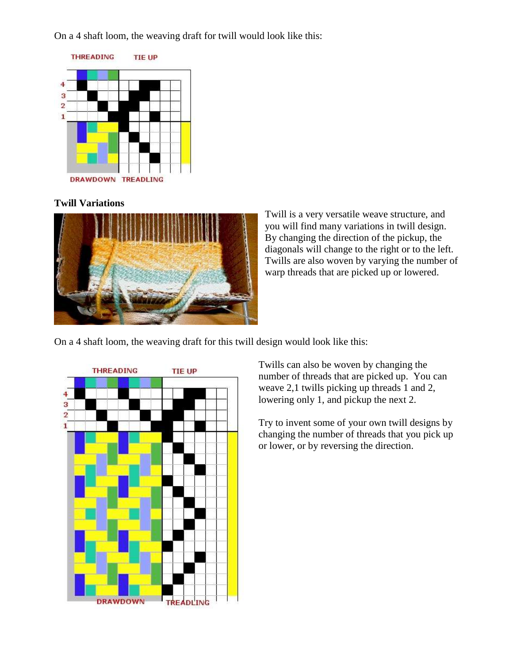On a 4 shaft loom, the weaving draft for twill would look like this:



# **Twill Variations**



Twill is a very versatile weave structure, and you will find many variations in twill design. By changing the direction of the pickup, the diagonals will change to the right or to the left. Twills are also woven by varying the number of warp threads that are picked up or lowered.

On a 4 shaft loom, the weaving draft for this twill design would look like this:



Twills can also be woven by changing the number of threads that are picked up. You can weave 2,1 twills picking up threads 1 and 2, lowering only 1, and pickup the next 2.

Try to invent some of your own twill designs by changing the number of threads that you pick up or lower, or by reversing the direction.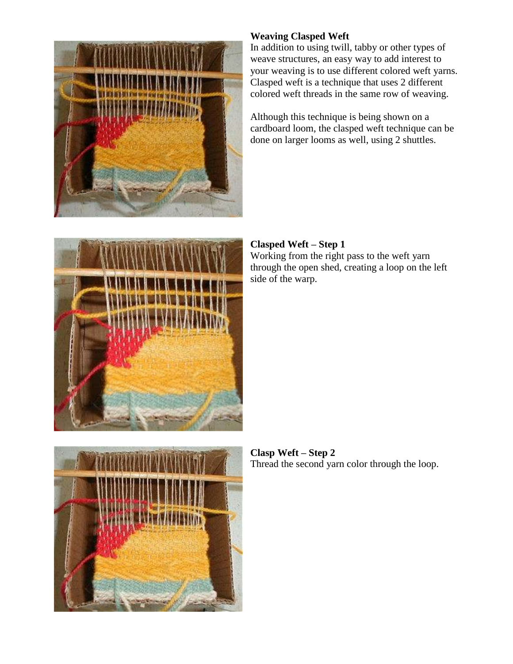

# **Weaving Clasped Weft**

In addition to using twill, tabby or other types of weave structures, an easy way to add interest to your weaving is to use different colored weft yarns. Clasped weft is a technique that uses 2 different colored weft threads in the same row of weaving.

Although this technique is being shown on a cardboard loom, the clasped weft technique can be done on larger looms as well, using 2 shuttles.



#### **Clasped Weft – Step 1** Working from the right pass to the weft yarn through the open shed, creating a loop on the left side of the warp.



**Clasp Weft – Step 2** Thread the second yarn color through the loop.